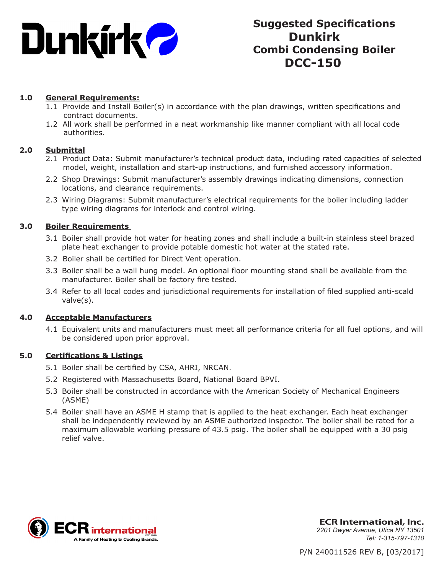

# **Suggested Specifications Dunkirk Combi Condensing Boiler DCC-150**

# **1.0 General Requirements:**

- 1.1 Provide and Install Boiler(s) in accordance with the plan drawings, written specifications and contract documents.
- 1.2 All work shall be performed in a neat workmanship like manner compliant with all local code authorities.

# **2.0 Submittal**

- 2.1 Product Data: Submit manufacturer's technical product data, including rated capacities of selected model, weight, installation and start-up instructions, and furnished accessory information.
- 2.2 Shop Drawings: Submit manufacturer's assembly drawings indicating dimensions, connection locations, and clearance requirements.
- 2.3 Wiring Diagrams: Submit manufacturer's electrical requirements for the boiler including ladder type wiring diagrams for interlock and control wiring.

# **3.0 Boiler Requirements**

- 3.1 Boiler shall provide hot water for heating zones and shall include a built-in stainless steel brazed plate heat exchanger to provide potable domestic hot water at the stated rate.
- 3.2 Boiler shall be certified for Direct Vent operation.
- 3.3 Boiler shall be a wall hung model. An optional floor mounting stand shall be available from the manufacturer. Boiler shall be factory fire tested.
- 3.4 Refer to all local codes and jurisdictional requirements for installation of filed supplied anti-scald valve(s).

#### **4.0 Acceptable Manufacturers**

4.1 Equivalent units and manufacturers must meet all performance criteria for all fuel options, and will be considered upon prior approval.

# **5.0 Certifications & Listings**

- 5.1 Boiler shall be certified by CSA, AHRI, NRCAN.
- 5.2 Registered with Massachusetts Board, National Board BPVI.
- 5.3 Boiler shall be constructed in accordance with the American Society of Mechanical Engineers (ASME)
- 5.4 Boiler shall have an ASME H stamp that is applied to the heat exchanger. Each heat exchanger shall be independently reviewed by an ASME authorized inspector. The boiler shall be rated for a maximum allowable working pressure of 43.5 psig. The boiler shall be equipped with a 30 psig relief valve.



**ECR International, Inc.** *2201 Dwyer Avenue, Utica NY 13501 Tel: 1-315-797-1310*

P/N 240011526 REV B, [03/2017]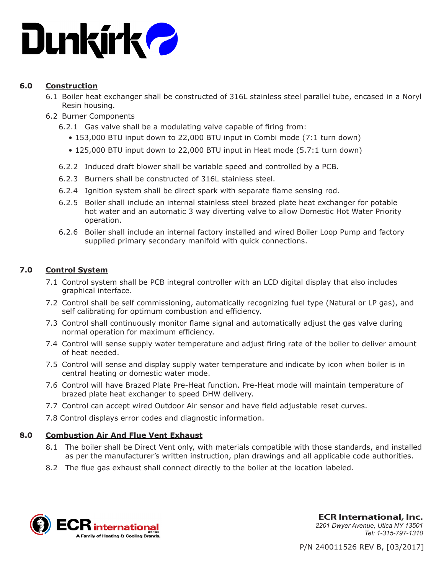

# **6.0 Construction**

- 6.1 Boiler heat exchanger shall be constructed of 316L stainless steel parallel tube, encased in a Noryl Resin housing.
- 6.2 Burner Components
	- 6.2.1 Gas valve shall be a modulating valve capable of firing from:
		- 153,000 BTU input down to 22,000 BTU input in Combi mode (7:1 turn down)
		- 125,000 BTU input down to 22,000 BTU input in Heat mode (5.7:1 turn down)
	- 6.2.2 Induced draft blower shall be variable speed and controlled by a PCB.
	- 6.2.3 Burners shall be constructed of 316L stainless steel.
	- 6.2.4 Ignition system shall be direct spark with separate flame sensing rod.
	- 6.2.5 Boiler shall include an internal stainless steel brazed plate heat exchanger for potable hot water and an automatic 3 way diverting valve to allow Domestic Hot Water Priority operation.
	- 6.2.6 Boiler shall include an internal factory installed and wired Boiler Loop Pump and factory supplied primary secondary manifold with quick connections.

# **7.0 Control System**

- 7.1 Control system shall be PCB integral controller with an LCD digital display that also includes graphical interface.
- 7.2 Control shall be self commissioning, automatically recognizing fuel type (Natural or LP gas), and self calibrating for optimum combustion and efficiency.
- 7.3 Control shall continuously monitor flame signal and automatically adjust the gas valve during normal operation for maximum efficiency.
- 7.4 Control will sense supply water temperature and adjust firing rate of the boiler to deliver amount of heat needed.
- 7.5 Control will sense and display supply water temperature and indicate by icon when boiler is in central heating or domestic water mode.
- 7.6 Control will have Brazed Plate Pre-Heat function. Pre-Heat mode will maintain temperature of brazed plate heat exchanger to speed DHW delivery.
- 7.7 Control can accept wired Outdoor Air sensor and have field adjustable reset curves.
- 7.8 Control displays error codes and diagnostic information.

# **8.0 Combustion Air And Flue Vent Exhaust**

- 8.1 The boiler shall be Direct Vent only, with materials compatible with those standards, and installed as per the manufacturer's written instruction, plan drawings and all applicable code authorities.
- 8.2 The flue gas exhaust shall connect directly to the boiler at the location labeled.



**ECR International, Inc.** *2201 Dwyer Avenue, Utica NY 13501 Tel: 1-315-797-1310*